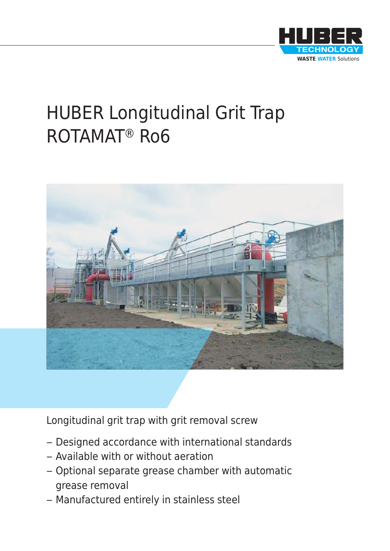

# HUBER Longitudinal Grit Trap ROTAMAT® Ro6



Longitudinal grit trap with grit removal screw

- Designed accordance with international standards
- Available with or without aeration
- Optional separate grease chamber with automatic grease removal
- Manufactured entirely in stainless steel